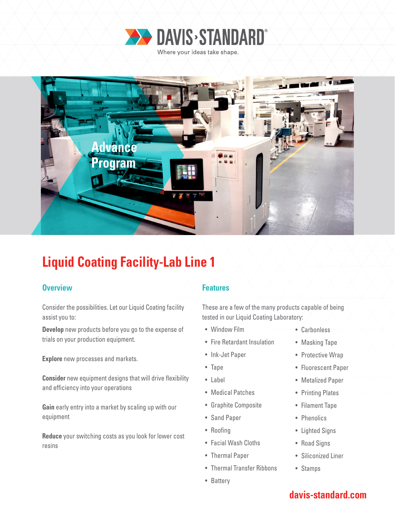



# **Liquid Coating Facility-Lab Line 1**

### **Overview Allen Accepted Accepted Accepted Accepted Accepted Accepted Accepted Accepted Accepted Accepted Accepted**

Consider the possibilities. Let our Liquid Coating facility assist you to:

**Develop** new products before you go to the expense of trials on your production equipment.

**Explore** new processes and markets.

**Consider** new equipment designs that will drive flexibility and efficiency into your operations

**Gain** early entry into a market by scaling up with our equipment

**Reduce** your switching costs as you look for lower cost resins

These are a few of the many products capable of being tested in our Liquid Coating Laboratory:

- Window Film
- Fire Retardant Insulation
- Ink-Jet Paper
- Tape
- Label
- Medical Patches
- Graphite Composite
- Sand Paper
- Roofing
- Facial Wash Cloths
- Thermal Paper
- Thermal Transfer Ribbons
- Battery
- Carbonless
- Masking Tape
- Protective Wrap
- Fluorescent Paper
- Metalized Paper
- Printing Plates
- Filament Tape
- Phenolics
- Lighted Signs
- Road Signs
- Siliconized Liner
- Stamps

## **davis-standard.com**